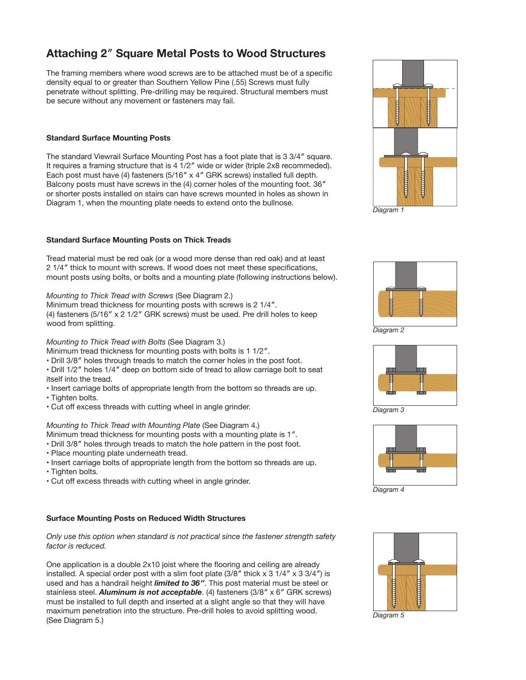# **Attaching 2**″ **Square Metal Posts to Wood Structures**

The framing members where wood screws are to be attached must be of a specific density equal to or greater than Southern Yellow Pine (.55) Screws must fully penetrate without splitting. Pre-drilling may be required. Structural members must be secure without any movement or fasteners may fail.

### **Standard Surface Mounting Posts**

The standard Viewrail Surface Mounting Post has a foot plate that is 3 3/4″ square. It requires a framing structure that is 4 1/2″ wide or wider (triple 2x8 recommeded). Each post must have (4) fasteners (5/16″ x 4″ GRK screws) installed full depth. Balcony posts must have screws in the (4) corner holes of the mounting foot. 36" or shorter posts installed on stairs can have screws mounted in holes as shown in Diagram 1, when the mounting plate needs to extend onto the bullnose.

### **Standard Surface Mounting Posts on Thick Treads**

Tread material must be red oak (or a wood more dense than red oak) and at least 2 1/4" thick to mount with screws. If wood does not meet these specifications, mount posts using bolts, or bolts and a mounting plate (following instructions below).

### *Mounting to Thick Tread with Screws* (See Diagram 2.)

Minimum tread thickness for mounting posts with screws is 2 1/4″. (4) fasteners (5/16″ x 2 1/2″ GRK screws) must be used. Pre drill holes to keep wood from splitting.

### *Mounting to Thick Tread with Bolts* (See Diagram 3.)

- Minimum tread thickness for mounting posts with bolts is 1 1/2″.
- Drill 3/8″ holes through treads to match the corner holes in the post foot.
- Drill 1/2″ holes 1/4″ deep on bottom side of tread to allow carriage bolt to seat itself into the tread.
- Insert carriage bolts of appropriate length from the bottom so threads are up.
- Tighten bolts.
- Cut off excess threads with cutting wheel in angle grinder.

# *Mounting to Thick Tread with Mounting Plate* (See Diagram 4.)

- Minimum tread thickness for mounting posts with a mounting plate is 1″.
- Drill 3/8″ holes through treads to match the hole pattern in the post foot.
- Place mounting plate underneath tread.
- Insert carriage bolts of appropriate length from the bottom so threads are up.
- Tighten bolts.
- Cut off excess threads with cutting wheel in angle grinder.

### **Surface Mounting Posts on Reduced Width Structures**

*Only use this option when standard is not practical since the fastener strength safety factor is reduced.*

One application is a double 2x10 joist where the flooring and ceiling are already installed. A special order post with a slim foot plate  $(3/8<sup>''</sup>$  thick x 3  $1/4<sup>''</sup>$  x 3  $3/4<sup>''</sup>$ ) is used and has a handrail height *limited to 36″*. This post material must be steel or stainless steel. *Aluminum is not acceptable*. (4) fasteners (3/8″ x 6″ GRK screws) must be installed to full depth and inserted at a slight angle so that they will have maximum penetration into the structure. Pre-drill holes to avoid splitting wood. (See Diagram 5.)



Diagram 1



*Diagram 2*



*Diagram 3*



*Diagram 4*



*Diagram 5*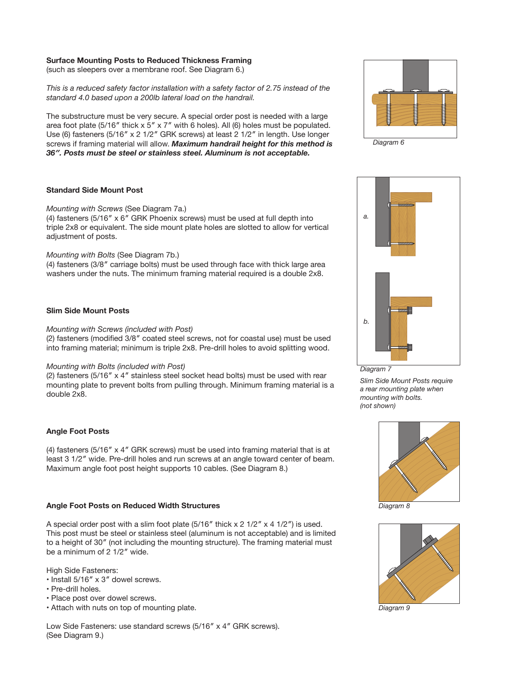### **Surface Mounting Posts to Reduced Thickness Framing**

(such as sleepers over a membrane roof. See Diagram 6.)

*This is a reduced safety factor installation with a safety factor of 2.75 instead of the standard 4.0 based upon a 200lb lateral load on the handrail.*

The substructure must be very secure. A special order post is needed with a large area foot plate (5/16" thick  $x 5" x 7"$  with 6 holes). All (6) holes must be populated. Use (6) fasteners (5/16″ x 2 1/2″ GRK screws) at least 2 1/2″ in length. Use longer screws if framing material will allow. *Maximum handrail height for this method is 36″. Posts must be steel or stainless steel. Aluminum is not acceptable.*

# **Standard Side Mount Post**

# *Mounting with Screws* (See Diagram 7a.)

(4) fasteners (5/16″ x 6″ GRK Phoenix screws) must be used at full depth into triple 2x8 or equivalent. The side mount plate holes are slotted to allow for vertical adjustment of posts.

# *Mounting with Bolts* (See Diagram 7b.)

(4) fasteners (3/8″ carriage bolts) must be used through face with thick large area washers under the nuts. The minimum framing material required is a double 2x8.

# **Slim Side Mount Posts**

### *Mounting with Screws (included with Post)*

(2) fasteners (modified 3/8" coated steel screws, not for coastal use) must be used into framing material; minimum is triple 2x8. Pre-drill holes to avoid splitting wood.

### *Mounting with Bolts (included with Post)*

(2) fasteners (5/16″ x 4″ stainless steel socket head bolts) must be used with rear mounting plate to prevent bolts from pulling through. Minimum framing material is a double 2x8.

# **Angle Foot Posts**

(4) fasteners (5/16″ x 4″ GRK screws) must be used into framing material that is at least 3 1/2″ wide. Pre-drill holes and run screws at an angle toward center of beam. Maximum angle foot post height supports 10 cables. (See Diagram 8.)

# **Angle Foot Posts on Reduced Width Structures**

A special order post with a slim foot plate  $(5/16''$  thick  $x 2 1/2''$  x 4  $1/2''$ ) is used. This post must be steel or stainless steel (aluminum is not acceptable) and is limited to a height of 30″ (not including the mounting structure). The framing material must be a minimum of 2 1/2″ wide.

High Side Fasteners:

- Install 5/16″ x 3″ dowel screws.
- Pre-drill holes.
- Place post over dowel screws.
- Attach with nuts on top of mounting plate.

Low Side Fasteners: use standard screws (5/16″ x 4″ GRK screws). (See Diagram 9.)



*a. b.*

*Diagram 7*

*Slim Side Mount Posts require a rear mounting plate when mounting with bolts. (not shown)*



*Diagram 8*



*Diagram 9*